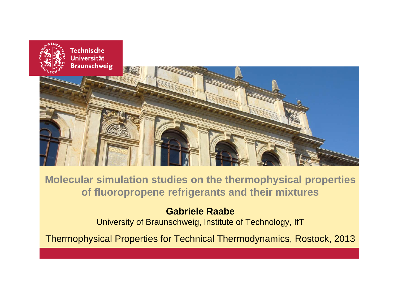

#### **Molecular simulation studies on the thermophysical properties of fluoropropene refrigerants and their mixtures**

**Gabriele Raabe** 

University of Braunschweig, Institute of Technology, IfT

Thermophysical Properties for Technical Thermodynamics, Rostock, 2013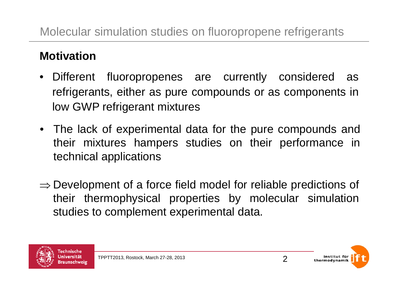#### **Motivation**

- $\bullet$  Different fluoropropenes are currently considered as refrigerants, either as pure compounds or as components in low GWP refrigerant mixtures
- The lack of experimental data for the pure compounds and their mixtures hampers studies on their performance in technical applications
- $\Rightarrow$  Development of a force field model for reliable predictions of their thermophysical properties by molecular simulation studies to complement experimental data.



 $\mathcal{P}$ 

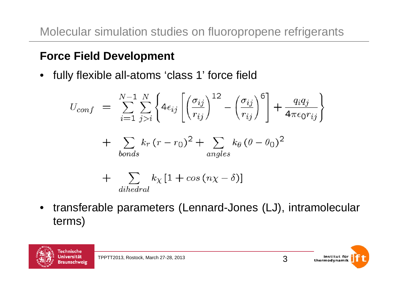#### **Force Field Development**

•fully flexible all-atoms 'class 1' force field

$$
U_{conf} = \sum_{i=1}^{N-1} \sum_{j>i}^{N} \left\{ 4\epsilon_{ij} \left[ \left( \frac{\sigma_{ij}}{r_{ij}} \right)^{12} - \left( \frac{\sigma_{ij}}{r_{ij}} \right)^{6} \right] + \frac{q_i q_j}{4\pi \epsilon_0 r_{ij}} \right\}
$$
  
+ 
$$
\sum_{bonds} k_r (r - r_0)^2 + \sum_{angles} k_\theta (\theta - \theta_0)^2
$$
  
+ 
$$
\sum_{dihedral} k_\chi [1 + \cos (n\chi - \delta)]
$$

 $\bullet$  transferable parameters (Lennard-Jones (LJ), intramolecular terms)



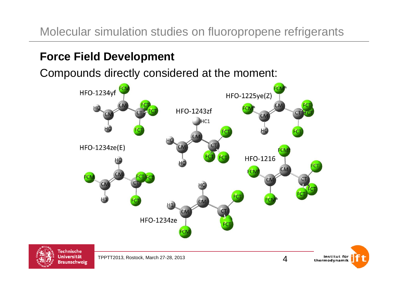Molecular simulation studies on fluoropropene refrigerants

#### **Force Field Development**

Compounds directly considered at the moment:





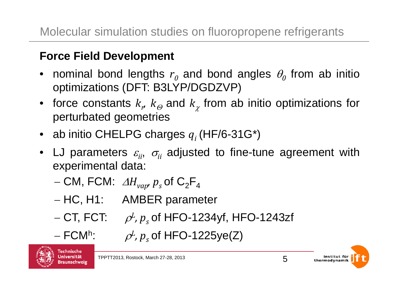#### **Force Field Development**

- •nominal bond lengths  $r_{\textit{0}}$  and bond angles  $\theta_{\textit{0}}$  from ab initio optimizations (DFT: B3LYP/DGDZVP)
- force constants  $k_r$   $k_\vartheta$  and  $k_\chi$  from ab initio optimizations for perturbated geometries
- ab initio CHELPG charges *qi* (HF/6-31G\*)
- LJ parameters  $\varepsilon_{\!i}$ ,  $\sigma_{\!i}$  adjusted to fine-tune agreement with experimental data:
	- $-$  CM, FCM:  $\varDelta H_{vap}$   $p_{_S}$  of  $\mathsf{C}_2\mathsf{F}_4$
	- HC, H1: AMBER parameter
	- CT, FCT: *p<sup>L</sup>, p<sub>s</sub>* of HFO-1234yf, HFO-1243zf
	- $-$  FCM<sup>h</sup>:  $\rho^L$ ,  $p_s$
- $\rho^L$ ,  $p_s$  of HFO-1225ye(Z)



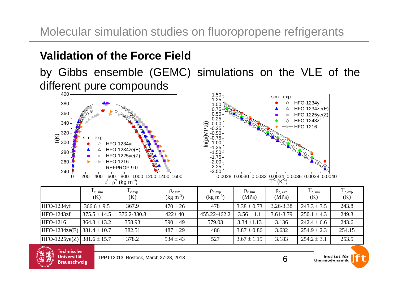Molecular simulation studies on fluoropropene refrigerants

#### **Validation of the Force Field**

by Gibbs ensemble (GEMC) simulations on the VLE of the different pure compounds





**Universität** 

**Braunschweig**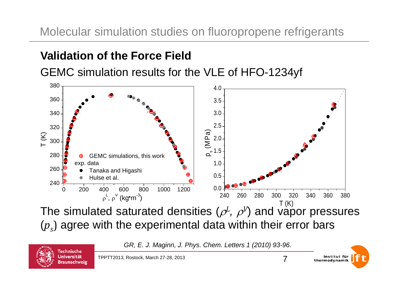#### **Validation of the Force Field**

GEMC simulation results for the VLE of HFO-1234yf



(*ps*) agree with the experimental data within their error bars

*GR, E. J. Maginn, J. Phys. Chem. Letters 1 (2010) 93-96.*





institut für thermodynamik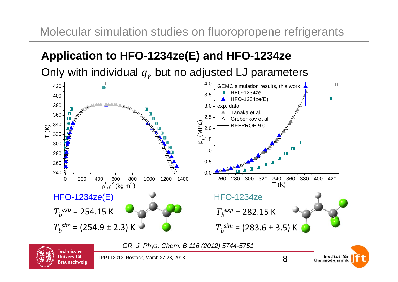## **Application to HFO-1234ze(E) and HFO-1234ze**

Only with individual  $q_i$ , but no adjusted LJ parameters



*GR, J. Phys. Chem. B 116 (2012) 5744-5751*



institut für thermodynamik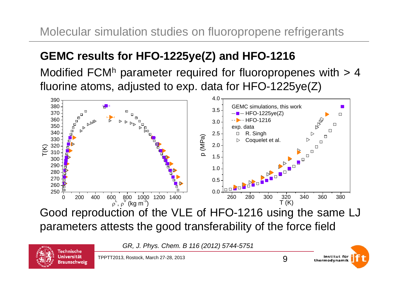## **GEMC results for HFO-1225ye(Z) and HFO-1216**

Modified FCM<sup>h</sup> parameter required for fluoropropenes with  $> 4$ fluorine atoms, adjusted to exp. data for HFO-1225ye(Z)



Good reproduction of the VLE of HFO-1216 using the same LJ parameters attests the good transferability of the force field

*GR, J. Phys. Chem. B 116 (2012) 5744-5751*



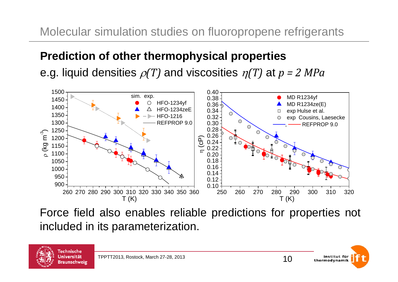### **Prediction of other thermophysical properties**

e.g. liquid densities  $\rho(T)$  and viscosities  $\eta(T)$  at  $p$  = 2 MPa



Force field also enables reliable predictions for properties not included in its parameterization.



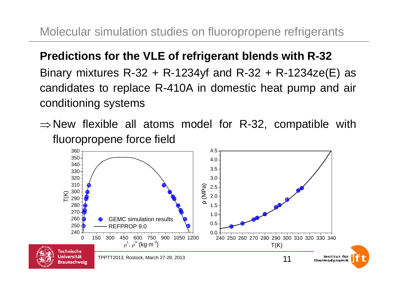#### **Predictions for the VLE of refrigerant blends with R-32**

Binary mixtures  $R-32 + R-1234$ yf and  $R-32 + R-1234$ ze(E) as candidates to replace R-410A in domestic heat pump and air conditioning systems

 $\Rightarrow$  New flexible all atoms model for R-32, compatible with fluoropropene force field

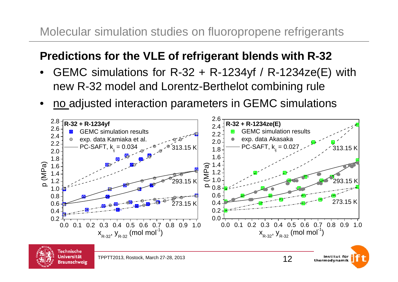#### **Predictions for the VLE of refrigerant blends with R-32**

- •GEMC simulations for  $R-32 + R-1234$ yf /  $R-1234$ ze(E) with new R-32 model and Lorentz-Berthelot combining rule
- •no adjusted interaction parameters in GEMC simulations

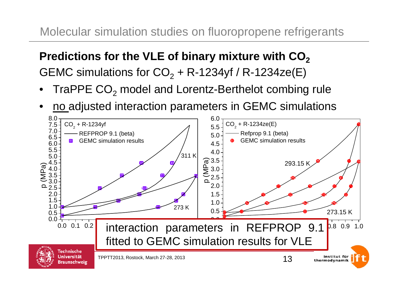Predictions for the VLE of binary mixture with CO<sub>2</sub> GEMC simulations for CO $_2$  + R-1234yf / R-1234ze(E)

- •TraPPE  $\textsf{CO}_2$  model and Lorentz-Berthelot combing rule
- •no adjusted interaction parameters in GEMC simulations

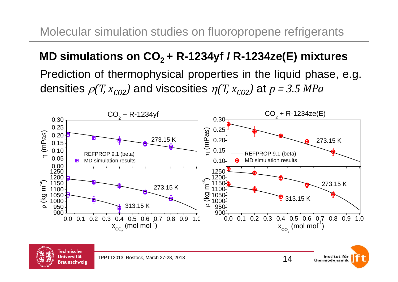#### MD simulations on CO<sub>2</sub> + R-1234yf / R-1234ze(E) mixtures

Prediction of thermophysical properties in the liquid phase, e.g. densities  $\rho(T,x_{CO2})$  and viscosities  $\eta(T,x_{CO2})$  at  $p$  = 3.5 MPa



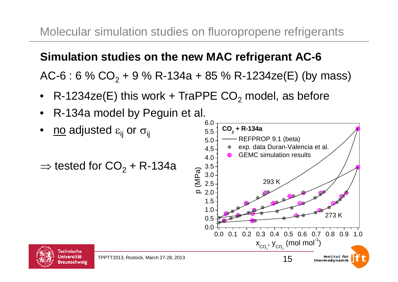**Simulation studies on the new MAC refrigerant AC-6** AC-6 : 6 % CO<sub>2</sub> + 9 % R-134a + 85 % R-1234ze(E) (by mass)

- •R-1234ze(E) this work + TraPPE  $CO_2$  model, as before
- •R-134a model by Peguin et al.
- •<u>no</u> adjusted  $\varepsilon_{ii}$  or  $\sigma_{ii}$

 $\Rightarrow$  tested for CO<sub>2</sub> + R-134a



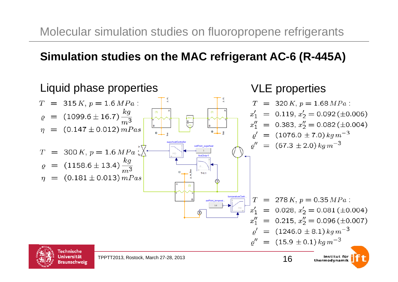#### **Simulation studies on the MAC refrigerant AC-6 (R-445A)**

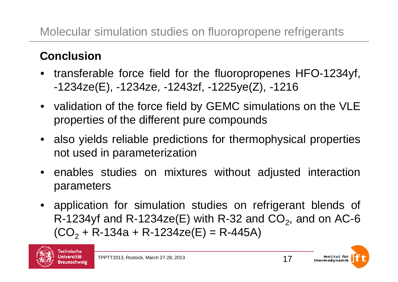## Molecular simulation studies on fluoropropene refrigerants

### **Conclusion**

- transferable force field for the fluoropropenes HFO-1234yf, -1234ze(E), -1234ze, -1243zf, -1225ye(Z), -1216
- validation of the force field by GEMC simulations on the VLE properties of the different pure compounds
- also yields reliable predictions for thermophysical properties not used in parameterization
- enables studies on mixtures without adjusted interaction parameters
- application for simulation studies on refrigerant blends of R-1234yf and R-1234ze(E) with R-32 and  $CO<sub>2</sub>$ , and on AC-6 (CO $_{\rm 2}$  + R-134a + R-1234ze(E) = R-445A)